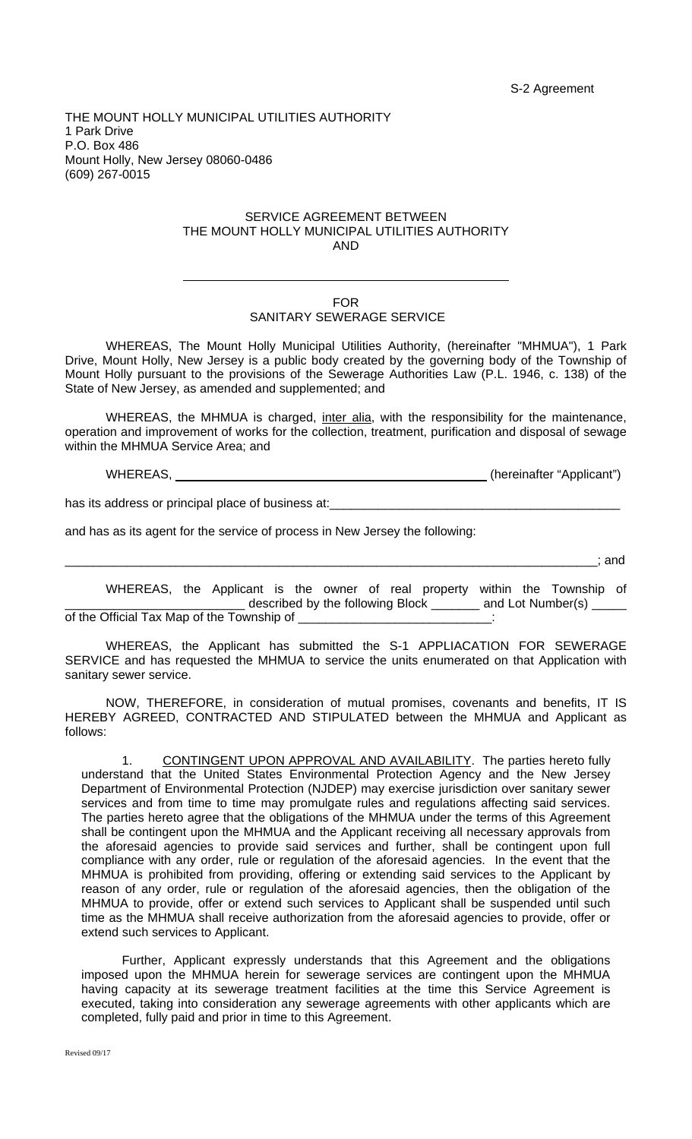THE MOUNT HOLLY MUNICIPAL UTILITIES AUTHORITY 1 Park Drive P.O. Box 486 Mount Holly, New Jersey 08060-0486 (609) 267-0015

## SERVICE AGREEMENT BETWEEN THE MOUNT HOLLY MUNICIPAL UTILITIES AUTHORITY AND

## FOR

## SANITARY SEWERAGE SERVICE

WHEREAS, The Mount Holly Municipal Utilities Authority, (hereinafter "MHMUA"), 1 Park Drive, Mount Holly, New Jersey is a public body created by the governing body of the Township of Mount Holly pursuant to the provisions of the Sewerage Authorities Law (P.L. 1946, c. 138) of the State of New Jersey, as amended and supplemented; and

WHEREAS, the MHMUA is charged, inter alia, with the responsibility for the maintenance, operation and improvement of works for the collection, treatment, purification and disposal of sewage within the MHMUA Service Area; and

WHEREAS, \_\_\_\_\_\_\_\_\_\_\_\_\_\_\_\_\_\_\_\_\_\_\_\_\_\_\_\_\_\_\_\_\_\_\_\_\_\_\_\_\_\_\_\_\_ (hereinafter "Applicant")

has its address or principal place of business at:

 $\overline{a}$ 

and has as its agent for the service of process in New Jersey the following:

\_\_\_\_\_\_\_\_\_\_\_\_\_\_\_\_\_\_\_\_\_\_\_\_\_\_\_\_\_\_\_\_\_\_\_\_\_\_\_\_\_\_\_\_\_\_\_\_\_\_\_\_\_\_\_\_\_\_\_\_\_\_\_\_\_\_\_\_\_\_\_\_\_\_\_\_\_; and

WHEREAS, the Applicant is the owner of real property within the Township of described by the following Block \_\_\_\_\_\_\_\_ and Lot Number(s) \_ of the Official Tax Map of the Township of

WHEREAS, the Applicant has submitted the S-1 APPLIACATION FOR SEWERAGE SERVICE and has requested the MHMUA to service the units enumerated on that Application with sanitary sewer service.

NOW, THEREFORE, in consideration of mutual promises, covenants and benefits, IT IS HEREBY AGREED, CONTRACTED AND STIPULATED between the MHMUA and Applicant as follows:

1. CONTINGENT UPON APPROVAL AND AVAILABILITY. The parties hereto fully understand that the United States Environmental Protection Agency and the New Jersey Department of Environmental Protection (NJDEP) may exercise jurisdiction over sanitary sewer services and from time to time may promulgate rules and regulations affecting said services. The parties hereto agree that the obligations of the MHMUA under the terms of this Agreement shall be contingent upon the MHMUA and the Applicant receiving all necessary approvals from the aforesaid agencies to provide said services and further, shall be contingent upon full compliance with any order, rule or regulation of the aforesaid agencies. In the event that the MHMUA is prohibited from providing, offering or extending said services to the Applicant by reason of any order, rule or regulation of the aforesaid agencies, then the obligation of the MHMUA to provide, offer or extend such services to Applicant shall be suspended until such time as the MHMUA shall receive authorization from the aforesaid agencies to provide, offer or extend such services to Applicant.

Further, Applicant expressly understands that this Agreement and the obligations imposed upon the MHMUA herein for sewerage services are contingent upon the MHMUA having capacity at its sewerage treatment facilities at the time this Service Agreement is executed, taking into consideration any sewerage agreements with other applicants which are completed, fully paid and prior in time to this Agreement.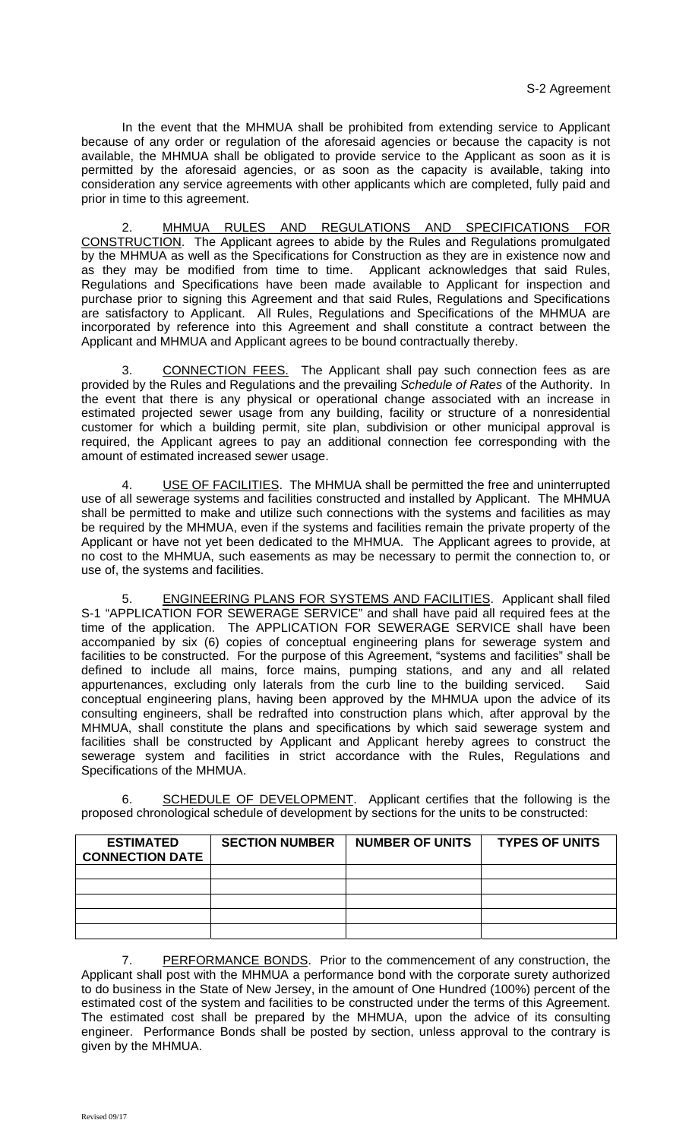In the event that the MHMUA shall be prohibited from extending service to Applicant because of any order or regulation of the aforesaid agencies or because the capacity is not available, the MHMUA shall be obligated to provide service to the Applicant as soon as it is permitted by the aforesaid agencies, or as soon as the capacity is available, taking into consideration any service agreements with other applicants which are completed, fully paid and prior in time to this agreement.

MHMUA RULES AND REGULATIONS AND SPECIFICATIONS FOR CONSTRUCTION. The Applicant agrees to abide by the Rules and Regulations promulgated by the MHMUA as well as the Specifications for Construction as they are in existence now and as they may be modified from time to time. Applicant acknowledges that said Rules, Regulations and Specifications have been made available to Applicant for inspection and purchase prior to signing this Agreement and that said Rules, Regulations and Specifications are satisfactory to Applicant. All Rules, Regulations and Specifications of the MHMUA are incorporated by reference into this Agreement and shall constitute a contract between the Applicant and MHMUA and Applicant agrees to be bound contractually thereby.

3. CONNECTION FEES. The Applicant shall pay such connection fees as are provided by the Rules and Regulations and the prevailing *Schedule of Rates* of the Authority. In the event that there is any physical or operational change associated with an increase in estimated projected sewer usage from any building, facility or structure of a nonresidential customer for which a building permit, site plan, subdivision or other municipal approval is required, the Applicant agrees to pay an additional connection fee corresponding with the amount of estimated increased sewer usage.

USE OF FACILITIES. The MHMUA shall be permitted the free and uninterrupted use of all sewerage systems and facilities constructed and installed by Applicant. The MHMUA shall be permitted to make and utilize such connections with the systems and facilities as may be required by the MHMUA, even if the systems and facilities remain the private property of the Applicant or have not yet been dedicated to the MHMUA. The Applicant agrees to provide, at no cost to the MHMUA, such easements as may be necessary to permit the connection to, or use of, the systems and facilities.

**ENGINEERING PLANS FOR SYSTEMS AND FACILITIES.** Applicant shall filed S-1 "APPLICATION FOR SEWERAGE SERVICE" and shall have paid all required fees at the time of the application. The APPLICATION FOR SEWERAGE SERVICE shall have been accompanied by six (6) copies of conceptual engineering plans for sewerage system and facilities to be constructed. For the purpose of this Agreement, "systems and facilities" shall be defined to include all mains, force mains, pumping stations, and any and all related appurtenances, excluding only laterals from the curb line to the building serviced. Said conceptual engineering plans, having been approved by the MHMUA upon the advice of its consulting engineers, shall be redrafted into construction plans which, after approval by the MHMUA, shall constitute the plans and specifications by which said sewerage system and facilities shall be constructed by Applicant and Applicant hereby agrees to construct the sewerage system and facilities in strict accordance with the Rules, Regulations and Specifications of the MHMUA.

6. SCHEDULE OF DEVELOPMENT. Applicant certifies that the following is the proposed chronological schedule of development by sections for the units to be constructed:

| <b>ESTIMATED</b><br><b>CONNECTION DATE</b> | <b>SECTION NUMBER</b> | <b>NUMBER OF UNITS</b> | <b>TYPES OF UNITS</b> |
|--------------------------------------------|-----------------------|------------------------|-----------------------|
|                                            |                       |                        |                       |
|                                            |                       |                        |                       |
|                                            |                       |                        |                       |
|                                            |                       |                        |                       |
|                                            |                       |                        |                       |

7. PERFORMANCE BONDS. Prior to the commencement of any construction, the Applicant shall post with the MHMUA a performance bond with the corporate surety authorized to do business in the State of New Jersey, in the amount of One Hundred (100%) percent of the estimated cost of the system and facilities to be constructed under the terms of this Agreement. The estimated cost shall be prepared by the MHMUA, upon the advice of its consulting engineer. Performance Bonds shall be posted by section, unless approval to the contrary is given by the MHMUA.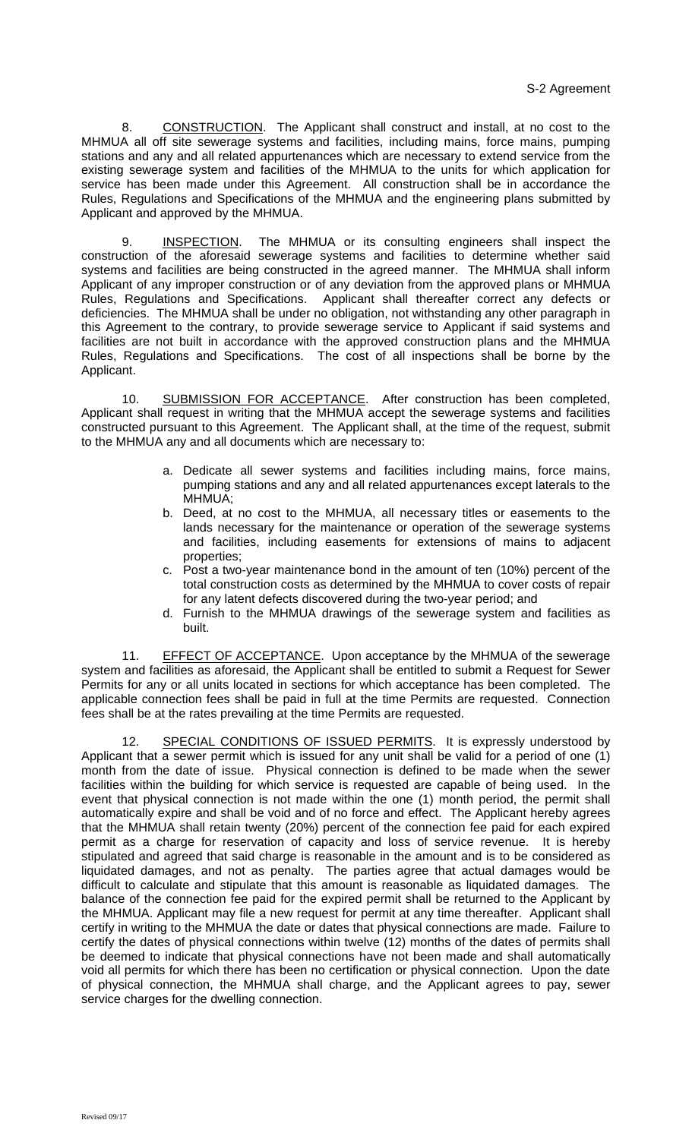8. CONSTRUCTION. The Applicant shall construct and install, at no cost to the MHMUA all off site sewerage systems and facilities, including mains, force mains, pumping stations and any and all related appurtenances which are necessary to extend service from the existing sewerage system and facilities of the MHMUA to the units for which application for service has been made under this Agreement. All construction shall be in accordance the Rules, Regulations and Specifications of the MHMUA and the engineering plans submitted by Applicant and approved by the MHMUA.

9. **INSPECTION.** The MHMUA or its consulting engineers shall inspect the construction of the aforesaid sewerage systems and facilities to determine whether said systems and facilities are being constructed in the agreed manner. The MHMUA shall inform Applicant of any improper construction or of any deviation from the approved plans or MHMUA Rules, Regulations and Specifications. Applicant shall thereafter correct any defects or deficiencies. The MHMUA shall be under no obligation, not withstanding any other paragraph in this Agreement to the contrary, to provide sewerage service to Applicant if said systems and facilities are not built in accordance with the approved construction plans and the MHMUA Rules, Regulations and Specifications. The cost of all inspections shall be borne by the Applicant.

10. SUBMISSION FOR ACCEPTANCE. After construction has been completed, Applicant shall request in writing that the MHMUA accept the sewerage systems and facilities constructed pursuant to this Agreement. The Applicant shall, at the time of the request, submit to the MHMUA any and all documents which are necessary to:

- a. Dedicate all sewer systems and facilities including mains, force mains, pumping stations and any and all related appurtenances except laterals to the MHMUA;
- b. Deed, at no cost to the MHMUA, all necessary titles or easements to the lands necessary for the maintenance or operation of the sewerage systems and facilities, including easements for extensions of mains to adjacent properties;
- c. Post a two-year maintenance bond in the amount of ten (10%) percent of the total construction costs as determined by the MHMUA to cover costs of repair for any latent defects discovered during the two-year period; and
- d. Furnish to the MHMUA drawings of the sewerage system and facilities as built.

11. EFFECT OF ACCEPTANCE. Upon acceptance by the MHMUA of the sewerage system and facilities as aforesaid, the Applicant shall be entitled to submit a Request for Sewer Permits for any or all units located in sections for which acceptance has been completed. The applicable connection fees shall be paid in full at the time Permits are requested. Connection fees shall be at the rates prevailing at the time Permits are requested.

12. SPECIAL CONDITIONS OF ISSUED PERMITS. It is expressly understood by Applicant that a sewer permit which is issued for any unit shall be valid for a period of one (1) month from the date of issue. Physical connection is defined to be made when the sewer facilities within the building for which service is requested are capable of being used. In the event that physical connection is not made within the one (1) month period, the permit shall automatically expire and shall be void and of no force and effect. The Applicant hereby agrees that the MHMUA shall retain twenty (20%) percent of the connection fee paid for each expired permit as a charge for reservation of capacity and loss of service revenue. It is hereby stipulated and agreed that said charge is reasonable in the amount and is to be considered as liquidated damages, and not as penalty. The parties agree that actual damages would be difficult to calculate and stipulate that this amount is reasonable as liquidated damages. The balance of the connection fee paid for the expired permit shall be returned to the Applicant by the MHMUA. Applicant may file a new request for permit at any time thereafter. Applicant shall certify in writing to the MHMUA the date or dates that physical connections are made. Failure to certify the dates of physical connections within twelve (12) months of the dates of permits shall be deemed to indicate that physical connections have not been made and shall automatically void all permits for which there has been no certification or physical connection. Upon the date of physical connection, the MHMUA shall charge, and the Applicant agrees to pay, sewer service charges for the dwelling connection.